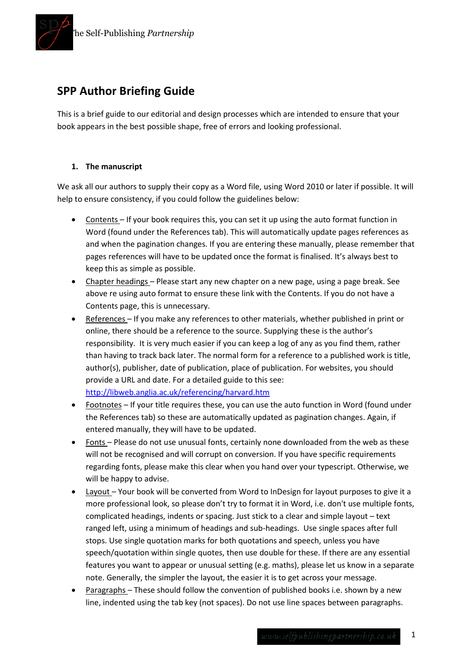

# **SPP Author Briefing Guide**

This is a brief guide to our editorial and design processes which are intended to ensure that your book appears in the best possible shape, free of errors and looking professional.

# **1. The manuscript**

We ask all our authors to supply their copy as a Word file, using Word 2010 or later if possible. It will help to ensure consistency, if you could follow the guidelines below:

- Contents If your book requires this, you can set it up using the auto format function in Word (found under the References tab). This will automatically update pages references as and when the pagination changes. If you are entering these manually, please remember that pages references will have to be updated once the format is finalised. It's always best to keep this as simple as possible.
- Chapter headings Please start any new chapter on a new page, using a page break. See above re using auto format to ensure these link with the Contents. If you do not have a Contents page, this is unnecessary.
- References If you make any references to other materials, whether published in print or online, there should be a reference to the source. Supplying these is the author's responsibility. It is very much easier if you can keep a log of any as you find them, rather than having to track back later. The normal form for a reference to a published work is title, author(s), publisher, date of publication, place of publication. For websites, you should provide a URL and date. For a detailed guide to this see: <http://libweb.anglia.ac.uk/referencing/harvard.htm>
- Footnotes If your title requires these, you can use the auto function in Word (found under the References tab) so these are automatically updated as pagination changes. Again, if entered manually, they will have to be updated.
- Fonts Please do not use unusual fonts, certainly none downloaded from the web as these will not be recognised and will corrupt on conversion. If you have specific requirements regarding fonts, please make this clear when you hand over your typescript. Otherwise, we will be happy to advise.
- Layout Your book will be converted from Word to InDesign for layout purposes to give it a more professional look, so please don't try to format it in Word, i.e. don't use multiple fonts, complicated headings, indents or spacing. Just stick to a clear and simple layout – text ranged left, using a minimum of headings and sub-headings. Use single spaces after full stops. Use single quotation marks for both quotations and speech, unless you have speech/quotation within single quotes, then use double for these. If there are any essential features you want to appear or unusual setting (e.g. maths), please let us know in a separate note. Generally, the simpler the layout, the easier it is to get across your message.
- Paragraphs These should follow the convention of published books i.e. shown by a new line, indented using the tab key (not spaces). Do not use line spaces between paragraphs.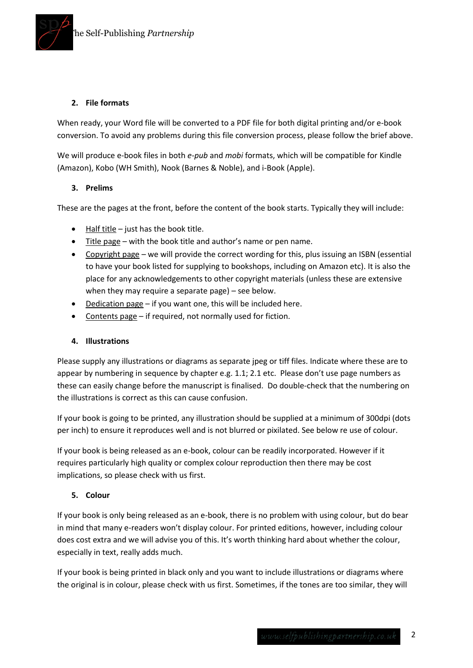

### **2. File formats**

When ready, your Word file will be converted to a PDF file for both digital printing and/or e-book conversion. To avoid any problems during this file conversion process, please follow the brief above.

We will produce e-book files in both *e-pub* and *mobi* formats, which will be compatible for Kindle (Amazon), Kobo (WH Smith), Nook (Barnes & Noble), and i-Book (Apple).

### **3. Prelims**

These are the pages at the front, before the content of the book starts. Typically they will include:

- $\bullet$  Half title just has the book title.
- Title page with the book title and author's name or pen name.
- Copyright page we will provide the correct wording for this, plus issuing an ISBN (essential to have your book listed for supplying to bookshops, including on Amazon etc). It is also the place for any acknowledgements to other copyright materials (unless these are extensive when they may require a separate page) – see below.
- Dedication page if you want one, this will be included here.
- Contents page if required, not normally used for fiction.

#### **4. Illustrations**

Please supply any illustrations or diagrams as separate jpeg or tiff files. Indicate where these are to appear by numbering in sequence by chapter e.g. 1.1; 2.1 etc. Please don't use page numbers as these can easily change before the manuscript is finalised. Do double-check that the numbering on the illustrations is correct as this can cause confusion.

If your book is going to be printed, any illustration should be supplied at a minimum of 300dpi (dots per inch) to ensure it reproduces well and is not blurred or pixilated. See below re use of colour.

If your book is being released as an e-book, colour can be readily incorporated. However if it requires particularly high quality or complex colour reproduction then there may be cost implications, so please check with us first.

#### **5. Colour**

If your book is only being released as an e-book, there is no problem with using colour, but do bear in mind that many e-readers won't display colour. For printed editions, however, including colour does cost extra and we will advise you of this. It's worth thinking hard about whether the colour, especially in text, really adds much.

If your book is being printed in black only and you want to include illustrations or diagrams where the original is in colour, please check with us first. Sometimes, if the tones are too similar, they will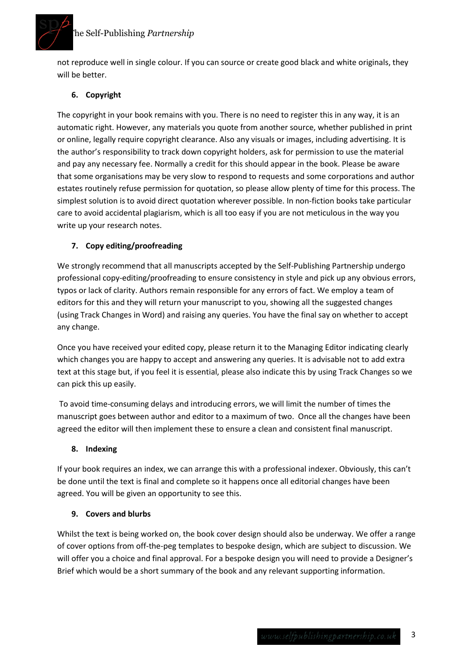# The Self-Publishing *Partnership*



not reproduce well in single colour. If you can source or create good black and white originals, they will be better.

# **6. Copyright**

The copyright in your book remains with you. There is no need to register this in any way, it is an automatic right. However, any materials you quote from another source, whether published in print or online, legally require copyright clearance. Also any visuals or images, including advertising. It is the author's responsibility to track down copyright holders, ask for permission to use the material and pay any necessary fee. Normally a credit for this should appear in the book. Please be aware that some organisations may be very slow to respond to requests and some corporations and author estates routinely refuse permission for quotation, so please allow plenty of time for this process. The simplest solution is to avoid direct quotation wherever possible. In non-fiction books take particular care to avoid accidental plagiarism, which is all too easy if you are not meticulous in the way you write up your research notes.

# **7. Copy editing/proofreading**

We strongly recommend that all manuscripts accepted by the Self-Publishing Partnership undergo professional copy-editing/proofreading to ensure consistency in style and pick up any obvious errors, typos or lack of clarity. Authors remain responsible for any errors of fact. We employ a team of editors for this and they will return your manuscript to you, showing all the suggested changes (using Track Changes in Word) and raising any queries. You have the final say on whether to accept any change.

Once you have received your edited copy, please return it to the Managing Editor indicating clearly which changes you are happy to accept and answering any queries. It is advisable not to add extra text at this stage but, if you feel it is essential, please also indicate this by using Track Changes so we can pick this up easily.

To avoid time-consuming delays and introducing errors, we will limit the number of times the manuscript goes between author and editor to a maximum of two. Once all the changes have been agreed the editor will then implement these to ensure a clean and consistent final manuscript.

### **8. Indexing**

If your book requires an index, we can arrange this with a professional indexer. Obviously, this can't be done until the text is final and complete so it happens once all editorial changes have been agreed. You will be given an opportunity to see this.

### **9. Covers and blurbs**

Whilst the text is being worked on, the book cover design should also be underway. We offer a range of cover options from off-the-peg templates to bespoke design, which are subject to discussion. We will offer you a choice and final approval. For a bespoke design you will need to provide a Designer's Brief which would be a short summary of the book and any relevant supporting information.